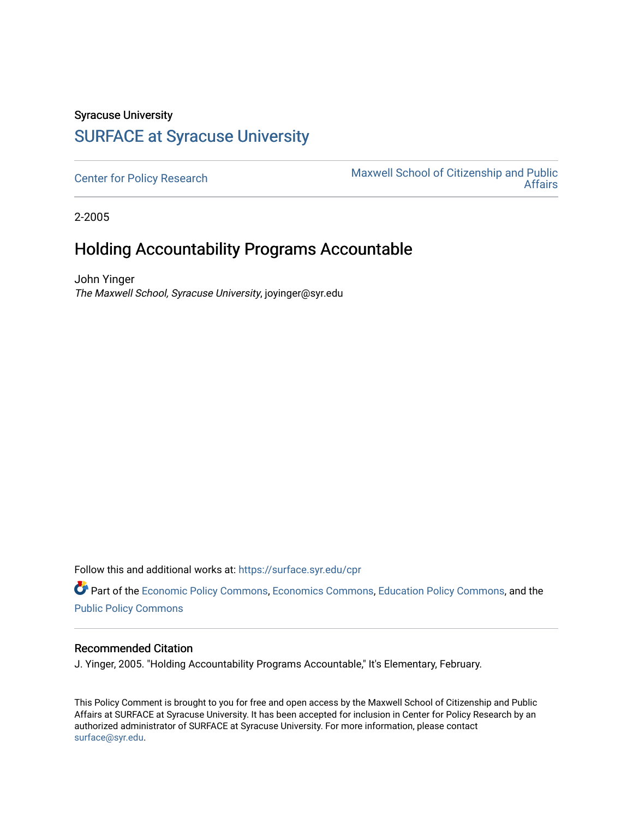## Syracuse University [SURFACE at Syracuse University](https://surface.syr.edu/)

[Center for Policy Research](https://surface.syr.edu/cpr) Maxwell School of Citizenship and Public [Affairs](https://surface.syr.edu/maxwell) 

2-2005

## Holding Accountability Programs Accountable

John Yinger The Maxwell School, Syracuse University, joyinger@syr.edu

Follow this and additional works at: [https://surface.syr.edu/cpr](https://surface.syr.edu/cpr?utm_source=surface.syr.edu%2Fcpr%2F303&utm_medium=PDF&utm_campaign=PDFCoverPages) 

Part of the [Economic Policy Commons](http://network.bepress.com/hgg/discipline/1025?utm_source=surface.syr.edu%2Fcpr%2F303&utm_medium=PDF&utm_campaign=PDFCoverPages), [Economics Commons,](http://network.bepress.com/hgg/discipline/340?utm_source=surface.syr.edu%2Fcpr%2F303&utm_medium=PDF&utm_campaign=PDFCoverPages) [Education Policy Commons](http://network.bepress.com/hgg/discipline/1026?utm_source=surface.syr.edu%2Fcpr%2F303&utm_medium=PDF&utm_campaign=PDFCoverPages), and the [Public Policy Commons](http://network.bepress.com/hgg/discipline/400?utm_source=surface.syr.edu%2Fcpr%2F303&utm_medium=PDF&utm_campaign=PDFCoverPages)

## Recommended Citation

J. Yinger, 2005. "Holding Accountability Programs Accountable," It's Elementary, February.

This Policy Comment is brought to you for free and open access by the Maxwell School of Citizenship and Public Affairs at SURFACE at Syracuse University. It has been accepted for inclusion in Center for Policy Research by an authorized administrator of SURFACE at Syracuse University. For more information, please contact [surface@syr.edu.](mailto:surface@syr.edu)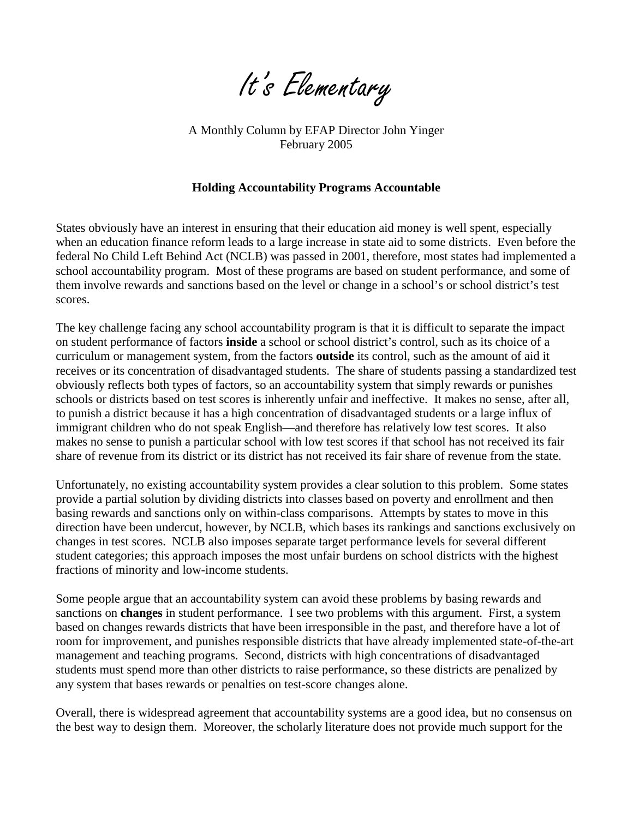

A Monthly Column by EFAP Director John Yinger February 2005

## **Holding Accountability Programs Accountable**

States obviously have an interest in ensuring that their education aid money is well spent, especially when an education finance reform leads to a large increase in state aid to some districts. Even before the federal No Child Left Behind Act (NCLB) was passed in 2001, therefore, most states had implemented a school accountability program. Most of these programs are based on student performance, and some of them involve rewards and sanctions based on the level or change in a school's or school district's test scores.

The key challenge facing any school accountability program is that it is difficult to separate the impact on student performance of factors **inside** a school or school district's control, such as its choice of a curriculum or management system, from the factors **outside** its control, such as the amount of aid it receives or its concentration of disadvantaged students. The share of students passing a standardized test obviously reflects both types of factors, so an accountability system that simply rewards or punishes schools or districts based on test scores is inherently unfair and ineffective. It makes no sense, after all, to punish a district because it has a high concentration of disadvantaged students or a large influx of immigrant children who do not speak English—and therefore has relatively low test scores. It also makes no sense to punish a particular school with low test scores if that school has not received its fair share of revenue from its district or its district has not received its fair share of revenue from the state.

Unfortunately, no existing accountability system provides a clear solution to this problem. Some states provide a partial solution by dividing districts into classes based on poverty and enrollment and then basing rewards and sanctions only on within-class comparisons. Attempts by states to move in this direction have been undercut, however, by NCLB, which bases its rankings and sanctions exclusively on changes in test scores. NCLB also imposes separate target performance levels for several different student categories; this approach imposes the most unfair burdens on school districts with the highest fractions of minority and low-income students.

Some people argue that an accountability system can avoid these problems by basing rewards and sanctions on **changes** in student performance. I see two problems with this argument. First, a system based on changes rewards districts that have been irresponsible in the past, and therefore have a lot of room for improvement, and punishes responsible districts that have already implemented state-of-the-art management and teaching programs. Second, districts with high concentrations of disadvantaged students must spend more than other districts to raise performance, so these districts are penalized by any system that bases rewards or penalties on test-score changes alone.

Overall, there is widespread agreement that accountability systems are a good idea, but no consensus on the best way to design them. Moreover, the scholarly literature does not provide much support for the